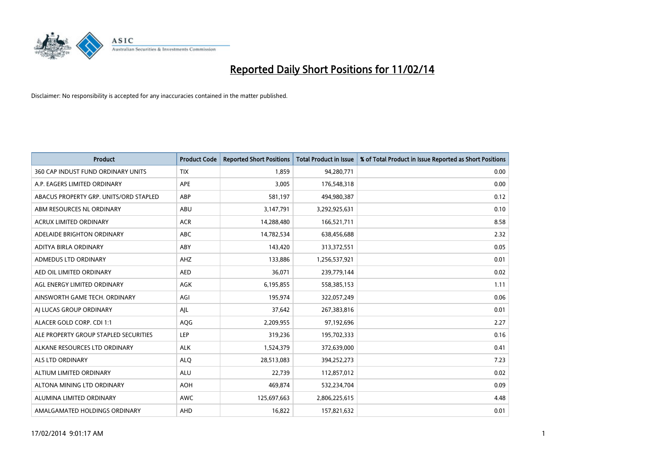

| <b>Product</b>                         | <b>Product Code</b> | <b>Reported Short Positions</b> | <b>Total Product in Issue</b> | % of Total Product in Issue Reported as Short Positions |
|----------------------------------------|---------------------|---------------------------------|-------------------------------|---------------------------------------------------------|
| 360 CAP INDUST FUND ORDINARY UNITS     | <b>TIX</b>          | 1,859                           | 94,280,771                    | 0.00                                                    |
| A.P. EAGERS LIMITED ORDINARY           | APE                 | 3,005                           | 176,548,318                   | 0.00                                                    |
| ABACUS PROPERTY GRP. UNITS/ORD STAPLED | ABP                 | 581,197                         | 494,980,387                   | 0.12                                                    |
| ABM RESOURCES NL ORDINARY              | ABU                 | 3,147,791                       | 3,292,925,631                 | 0.10                                                    |
| <b>ACRUX LIMITED ORDINARY</b>          | <b>ACR</b>          | 14,288,480                      | 166,521,711                   | 8.58                                                    |
| ADELAIDE BRIGHTON ORDINARY             | <b>ABC</b>          | 14,782,534                      | 638,456,688                   | 2.32                                                    |
| ADITYA BIRLA ORDINARY                  | ABY                 | 143,420                         | 313,372,551                   | 0.05                                                    |
| ADMEDUS LTD ORDINARY                   | AHZ                 | 133,886                         | 1,256,537,921                 | 0.01                                                    |
| AED OIL LIMITED ORDINARY               | <b>AED</b>          | 36,071                          | 239,779,144                   | 0.02                                                    |
| AGL ENERGY LIMITED ORDINARY            | <b>AGK</b>          | 6,195,855                       | 558,385,153                   | 1.11                                                    |
| AINSWORTH GAME TECH. ORDINARY          | AGI                 | 195,974                         | 322,057,249                   | 0.06                                                    |
| AI LUCAS GROUP ORDINARY                | AJL                 | 37,642                          | 267,383,816                   | 0.01                                                    |
| ALACER GOLD CORP. CDI 1:1              | AQG                 | 2,209,955                       | 97,192,696                    | 2.27                                                    |
| ALE PROPERTY GROUP STAPLED SECURITIES  | LEP                 | 319,236                         | 195,702,333                   | 0.16                                                    |
| ALKANE RESOURCES LTD ORDINARY          | <b>ALK</b>          | 1,524,379                       | 372,639,000                   | 0.41                                                    |
| ALS LTD ORDINARY                       | <b>ALQ</b>          | 28,513,083                      | 394,252,273                   | 7.23                                                    |
| ALTIUM LIMITED ORDINARY                | <b>ALU</b>          | 22,739                          | 112,857,012                   | 0.02                                                    |
| ALTONA MINING LTD ORDINARY             | <b>AOH</b>          | 469,874                         | 532,234,704                   | 0.09                                                    |
| ALUMINA LIMITED ORDINARY               | <b>AWC</b>          | 125,697,663                     | 2,806,225,615                 | 4.48                                                    |
| AMALGAMATED HOLDINGS ORDINARY          | AHD                 | 16,822                          | 157,821,632                   | 0.01                                                    |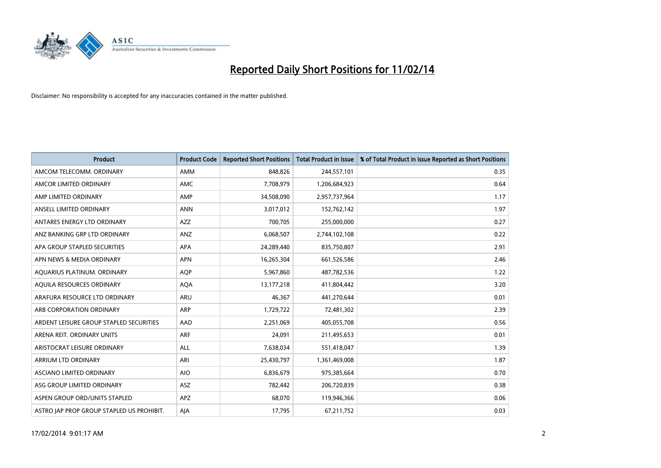

| <b>Product</b>                            | <b>Product Code</b> | <b>Reported Short Positions</b> | <b>Total Product in Issue</b> | % of Total Product in Issue Reported as Short Positions |
|-------------------------------------------|---------------------|---------------------------------|-------------------------------|---------------------------------------------------------|
| AMCOM TELECOMM, ORDINARY                  | AMM                 | 848,826                         | 244,557,101                   | 0.35                                                    |
| AMCOR LIMITED ORDINARY                    | AMC                 | 7,708,979                       | 1,206,684,923                 | 0.64                                                    |
| AMP LIMITED ORDINARY                      | AMP                 | 34,508,090                      | 2,957,737,964                 | 1.17                                                    |
| ANSELL LIMITED ORDINARY                   | <b>ANN</b>          | 3,017,012                       | 152,762,142                   | 1.97                                                    |
| ANTARES ENERGY LTD ORDINARY               | AZZ                 | 700,705                         | 255,000,000                   | 0.27                                                    |
| ANZ BANKING GRP LTD ORDINARY              | ANZ                 | 6,068,507                       | 2,744,102,108                 | 0.22                                                    |
| APA GROUP STAPLED SECURITIES              | APA                 | 24,289,440                      | 835,750,807                   | 2.91                                                    |
| APN NEWS & MEDIA ORDINARY                 | <b>APN</b>          | 16,265,304                      | 661,526,586                   | 2.46                                                    |
| AQUARIUS PLATINUM. ORDINARY               | <b>AOP</b>          | 5,967,860                       | 487,782,536                   | 1.22                                                    |
| AQUILA RESOURCES ORDINARY                 | <b>AQA</b>          | 13, 177, 218                    | 411,804,442                   | 3.20                                                    |
| ARAFURA RESOURCE LTD ORDINARY             | ARU                 | 46,367                          | 441,270,644                   | 0.01                                                    |
| ARB CORPORATION ORDINARY                  | <b>ARP</b>          | 1,729,722                       | 72,481,302                    | 2.39                                                    |
| ARDENT LEISURE GROUP STAPLED SECURITIES   | AAD                 | 2,251,069                       | 405,055,708                   | 0.56                                                    |
| ARENA REIT. ORDINARY UNITS                | <b>ARF</b>          | 24,091                          | 211,495,653                   | 0.01                                                    |
| ARISTOCRAT LEISURE ORDINARY               | <b>ALL</b>          | 7,638,034                       | 551,418,047                   | 1.39                                                    |
| ARRIUM LTD ORDINARY                       | ARI                 | 25,430,797                      | 1,361,469,008                 | 1.87                                                    |
| ASCIANO LIMITED ORDINARY                  | <b>AIO</b>          | 6,836,679                       | 975,385,664                   | 0.70                                                    |
| ASG GROUP LIMITED ORDINARY                | ASZ                 | 782,442                         | 206,720,839                   | 0.38                                                    |
| ASPEN GROUP ORD/UNITS STAPLED             | APZ                 | 68,070                          | 119,946,366                   | 0.06                                                    |
| ASTRO JAP PROP GROUP STAPLED US PROHIBIT. | AJA                 | 17,795                          | 67,211,752                    | 0.03                                                    |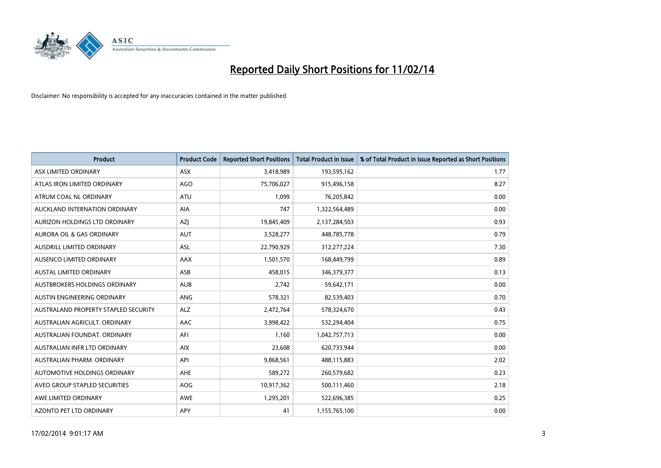

| <b>Product</b>                       | <b>Product Code</b> | <b>Reported Short Positions</b> | <b>Total Product in Issue</b> | % of Total Product in Issue Reported as Short Positions |
|--------------------------------------|---------------------|---------------------------------|-------------------------------|---------------------------------------------------------|
| ASX LIMITED ORDINARY                 | <b>ASX</b>          | 3,418,989                       | 193,595,162                   | 1.77                                                    |
| ATLAS IRON LIMITED ORDINARY          | <b>AGO</b>          | 75,706,027                      | 915,496,158                   | 8.27                                                    |
| ATRUM COAL NL ORDINARY               | <b>ATU</b>          | 1,099                           | 76,205,842                    | 0.00                                                    |
| AUCKLAND INTERNATION ORDINARY        | AIA                 | 747                             | 1,322,564,489                 | 0.00                                                    |
| AURIZON HOLDINGS LTD ORDINARY        | <b>AZI</b>          | 19,845,409                      | 2,137,284,503                 | 0.93                                                    |
| <b>AURORA OIL &amp; GAS ORDINARY</b> | <b>AUT</b>          | 3,528,277                       | 448,785,778                   | 0.79                                                    |
| AUSDRILL LIMITED ORDINARY            | ASL                 | 22,790,929                      | 312,277,224                   | 7.30                                                    |
| AUSENCO LIMITED ORDINARY             | AAX                 | 1,501,570                       | 168,449,799                   | 0.89                                                    |
| <b>AUSTAL LIMITED ORDINARY</b>       | ASB                 | 458,015                         | 346,379,377                   | 0.13                                                    |
| <b>AUSTBROKERS HOLDINGS ORDINARY</b> | <b>AUB</b>          | 2,742                           | 59,642,171                    | 0.00                                                    |
| AUSTIN ENGINEERING ORDINARY          | ANG                 | 578,321                         | 82,539,403                    | 0.70                                                    |
| AUSTRALAND PROPERTY STAPLED SECURITY | <b>ALZ</b>          | 2,472,764                       | 578,324,670                   | 0.43                                                    |
| AUSTRALIAN AGRICULT. ORDINARY        | AAC                 | 3,998,422                       | 532,294,404                   | 0.75                                                    |
| AUSTRALIAN FOUNDAT, ORDINARY         | AFI                 | 1,160                           | 1,042,757,713                 | 0.00                                                    |
| AUSTRALIAN INFR LTD ORDINARY         | <b>AIX</b>          | 23,608                          | 620,733,944                   | 0.00                                                    |
| AUSTRALIAN PHARM. ORDINARY           | API                 | 9,868,561                       | 488,115,883                   | 2.02                                                    |
| AUTOMOTIVE HOLDINGS ORDINARY         | AHE                 | 589,272                         | 260,579,682                   | 0.23                                                    |
| AVEO GROUP STAPLED SECURITIES        | <b>AOG</b>          | 10,917,362                      | 500,111,460                   | 2.18                                                    |
| AWE LIMITED ORDINARY                 | AWE                 | 1,295,201                       | 522,696,385                   | 0.25                                                    |
| AZONTO PET LTD ORDINARY              | APY                 | 41                              | 1,155,765,100                 | 0.00                                                    |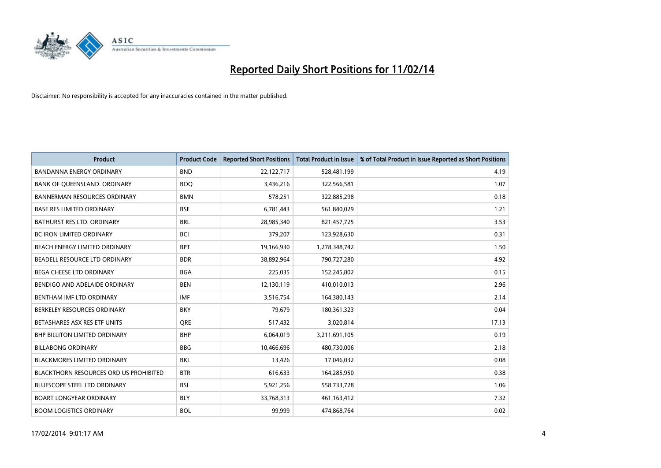

| <b>Product</b>                                | <b>Product Code</b> | <b>Reported Short Positions</b> | <b>Total Product in Issue</b> | % of Total Product in Issue Reported as Short Positions |
|-----------------------------------------------|---------------------|---------------------------------|-------------------------------|---------------------------------------------------------|
| <b>BANDANNA ENERGY ORDINARY</b>               | <b>BND</b>          | 22,122,717                      | 528,481,199                   | 4.19                                                    |
| BANK OF QUEENSLAND. ORDINARY                  | <b>BOQ</b>          | 3,436,216                       | 322,566,581                   | 1.07                                                    |
| <b>BANNERMAN RESOURCES ORDINARY</b>           | <b>BMN</b>          | 578,251                         | 322,885,298                   | 0.18                                                    |
| <b>BASE RES LIMITED ORDINARY</b>              | <b>BSE</b>          | 6,781,443                       | 561,840,029                   | 1.21                                                    |
| BATHURST RES LTD. ORDINARY                    | <b>BRL</b>          | 28,985,340                      | 821,457,725                   | 3.53                                                    |
| <b>BC IRON LIMITED ORDINARY</b>               | <b>BCI</b>          | 379,207                         | 123,928,630                   | 0.31                                                    |
| BEACH ENERGY LIMITED ORDINARY                 | <b>BPT</b>          | 19,166,930                      | 1,278,348,742                 | 1.50                                                    |
| BEADELL RESOURCE LTD ORDINARY                 | <b>BDR</b>          | 38,892,964                      | 790,727,280                   | 4.92                                                    |
| BEGA CHEESE LTD ORDINARY                      | <b>BGA</b>          | 225,035                         | 152,245,802                   | 0.15                                                    |
| BENDIGO AND ADELAIDE ORDINARY                 | <b>BEN</b>          | 12,130,119                      | 410,010,013                   | 2.96                                                    |
| BENTHAM IMF LTD ORDINARY                      | <b>IMF</b>          | 3,516,754                       | 164,380,143                   | 2.14                                                    |
| BERKELEY RESOURCES ORDINARY                   | <b>BKY</b>          | 79,679                          | 180,361,323                   | 0.04                                                    |
| BETASHARES ASX RES ETF UNITS                  | <b>ORE</b>          | 517,432                         | 3,020,814                     | 17.13                                                   |
| <b>BHP BILLITON LIMITED ORDINARY</b>          | <b>BHP</b>          | 6,064,019                       | 3,211,691,105                 | 0.19                                                    |
| <b>BILLABONG ORDINARY</b>                     | <b>BBG</b>          | 10,466,696                      | 480,730,006                   | 2.18                                                    |
| <b>BLACKMORES LIMITED ORDINARY</b>            | <b>BKL</b>          | 13,426                          | 17,046,032                    | 0.08                                                    |
| <b>BLACKTHORN RESOURCES ORD US PROHIBITED</b> | <b>BTR</b>          | 616,633                         | 164,285,950                   | 0.38                                                    |
| <b>BLUESCOPE STEEL LTD ORDINARY</b>           | <b>BSL</b>          | 5,921,256                       | 558,733,728                   | 1.06                                                    |
| <b>BOART LONGYEAR ORDINARY</b>                | <b>BLY</b>          | 33,768,313                      | 461,163,412                   | 7.32                                                    |
| <b>BOOM LOGISTICS ORDINARY</b>                | <b>BOL</b>          | 99.999                          | 474,868,764                   | 0.02                                                    |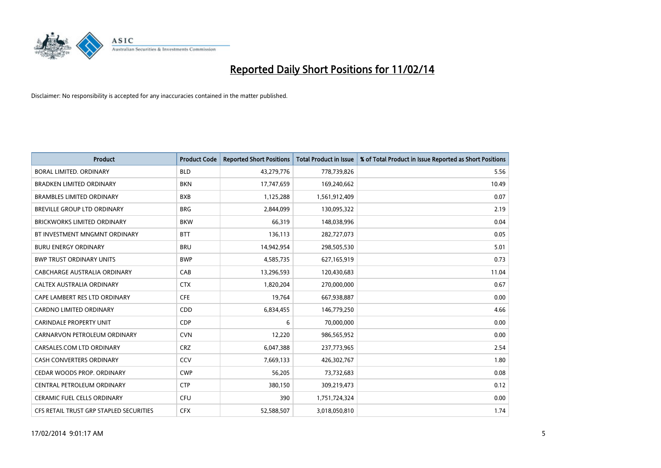

| <b>Product</b>                          | <b>Product Code</b> | <b>Reported Short Positions</b> | <b>Total Product in Issue</b> | % of Total Product in Issue Reported as Short Positions |
|-----------------------------------------|---------------------|---------------------------------|-------------------------------|---------------------------------------------------------|
| <b>BORAL LIMITED, ORDINARY</b>          | <b>BLD</b>          | 43,279,776                      | 778,739,826                   | 5.56                                                    |
| <b>BRADKEN LIMITED ORDINARY</b>         | <b>BKN</b>          | 17,747,659                      | 169,240,662                   | 10.49                                                   |
| <b>BRAMBLES LIMITED ORDINARY</b>        | <b>BXB</b>          | 1,125,288                       | 1,561,912,409                 | 0.07                                                    |
| BREVILLE GROUP LTD ORDINARY             | <b>BRG</b>          | 2,844,099                       | 130,095,322                   | 2.19                                                    |
| <b>BRICKWORKS LIMITED ORDINARY</b>      | <b>BKW</b>          | 66,319                          | 148,038,996                   | 0.04                                                    |
| BT INVESTMENT MNGMNT ORDINARY           | <b>BTT</b>          | 136,113                         | 282,727,073                   | 0.05                                                    |
| <b>BURU ENERGY ORDINARY</b>             | <b>BRU</b>          | 14,942,954                      | 298,505,530                   | 5.01                                                    |
| <b>BWP TRUST ORDINARY UNITS</b>         | <b>BWP</b>          | 4,585,735                       | 627,165,919                   | 0.73                                                    |
| <b>CABCHARGE AUSTRALIA ORDINARY</b>     | CAB                 | 13,296,593                      | 120,430,683                   | 11.04                                                   |
| CALTEX AUSTRALIA ORDINARY               | <b>CTX</b>          | 1,820,204                       | 270,000,000                   | 0.67                                                    |
| CAPE LAMBERT RES LTD ORDINARY           | <b>CFE</b>          | 19,764                          | 667,938,887                   | 0.00                                                    |
| <b>CARDNO LIMITED ORDINARY</b>          | CDD                 | 6,834,455                       | 146,779,250                   | 4.66                                                    |
| <b>CARINDALE PROPERTY UNIT</b>          | <b>CDP</b>          | 6                               | 70,000,000                    | 0.00                                                    |
| CARNARVON PETROLEUM ORDINARY            | <b>CVN</b>          | 12,220                          | 986,565,952                   | 0.00                                                    |
| CARSALES.COM LTD ORDINARY               | <b>CRZ</b>          | 6,047,388                       | 237,773,965                   | 2.54                                                    |
| CASH CONVERTERS ORDINARY                | CCV                 | 7,669,133                       | 426,302,767                   | 1.80                                                    |
| CEDAR WOODS PROP. ORDINARY              | <b>CWP</b>          | 56,205                          | 73,732,683                    | 0.08                                                    |
| CENTRAL PETROLEUM ORDINARY              | <b>CTP</b>          | 380,150                         | 309,219,473                   | 0.12                                                    |
| <b>CERAMIC FUEL CELLS ORDINARY</b>      | <b>CFU</b>          | 390                             | 1,751,724,324                 | 0.00                                                    |
| CFS RETAIL TRUST GRP STAPLED SECURITIES | <b>CFX</b>          | 52,588,507                      | 3,018,050,810                 | 1.74                                                    |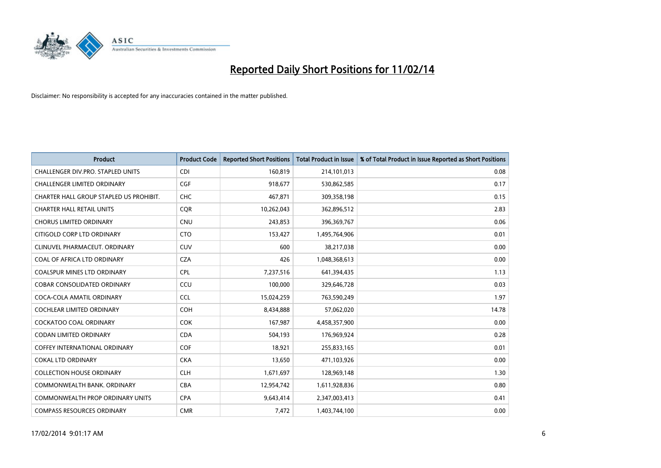

| <b>Product</b>                          | <b>Product Code</b> | <b>Reported Short Positions</b> | <b>Total Product in Issue</b> | % of Total Product in Issue Reported as Short Positions |
|-----------------------------------------|---------------------|---------------------------------|-------------------------------|---------------------------------------------------------|
| CHALLENGER DIV.PRO. STAPLED UNITS       | <b>CDI</b>          | 160,819                         | 214,101,013                   | 0.08                                                    |
| <b>CHALLENGER LIMITED ORDINARY</b>      | <b>CGF</b>          | 918,677                         | 530,862,585                   | 0.17                                                    |
| CHARTER HALL GROUP STAPLED US PROHIBIT. | <b>CHC</b>          | 467,871                         | 309,358,198                   | 0.15                                                    |
| <b>CHARTER HALL RETAIL UNITS</b>        | <b>COR</b>          | 10,262,043                      | 362,896,512                   | 2.83                                                    |
| <b>CHORUS LIMITED ORDINARY</b>          | <b>CNU</b>          | 243,853                         | 396,369,767                   | 0.06                                                    |
| CITIGOLD CORP LTD ORDINARY              | <b>CTO</b>          | 153,427                         | 1,495,764,906                 | 0.01                                                    |
| CLINUVEL PHARMACEUT. ORDINARY           | <b>CUV</b>          | 600                             | 38,217,038                    | 0.00                                                    |
| COAL OF AFRICA LTD ORDINARY             | <b>CZA</b>          | 426                             | 1,048,368,613                 | 0.00                                                    |
| <b>COALSPUR MINES LTD ORDINARY</b>      | <b>CPL</b>          | 7,237,516                       | 641,394,435                   | 1.13                                                    |
| <b>COBAR CONSOLIDATED ORDINARY</b>      | CCU                 | 100,000                         | 329,646,728                   | 0.03                                                    |
| COCA-COLA AMATIL ORDINARY               | <b>CCL</b>          | 15,024,259                      | 763,590,249                   | 1.97                                                    |
| <b>COCHLEAR LIMITED ORDINARY</b>        | <b>COH</b>          | 8,434,888                       | 57,062,020                    | 14.78                                                   |
| <b>COCKATOO COAL ORDINARY</b>           | <b>COK</b>          | 167,987                         | 4,458,357,900                 | 0.00                                                    |
| <b>CODAN LIMITED ORDINARY</b>           | <b>CDA</b>          | 504,193                         | 176,969,924                   | 0.28                                                    |
| <b>COFFEY INTERNATIONAL ORDINARY</b>    | <b>COF</b>          | 18,921                          | 255,833,165                   | 0.01                                                    |
| <b>COKAL LTD ORDINARY</b>               | <b>CKA</b>          | 13,650                          | 471,103,926                   | 0.00                                                    |
| <b>COLLECTION HOUSE ORDINARY</b>        | <b>CLH</b>          | 1,671,697                       | 128,969,148                   | 1.30                                                    |
| COMMONWEALTH BANK. ORDINARY             | <b>CBA</b>          | 12,954,742                      | 1,611,928,836                 | 0.80                                                    |
| <b>COMMONWEALTH PROP ORDINARY UNITS</b> | <b>CPA</b>          | 9,643,414                       | 2,347,003,413                 | 0.41                                                    |
| <b>COMPASS RESOURCES ORDINARY</b>       | <b>CMR</b>          | 7,472                           | 1,403,744,100                 | 0.00                                                    |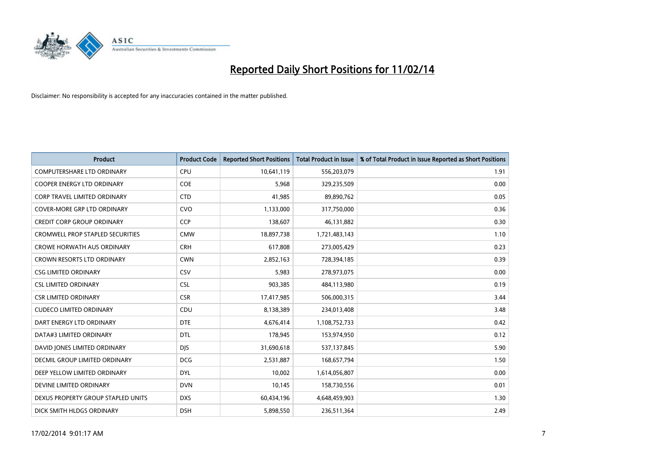

| <b>Product</b>                          | <b>Product Code</b> | <b>Reported Short Positions</b> | <b>Total Product in Issue</b> | % of Total Product in Issue Reported as Short Positions |
|-----------------------------------------|---------------------|---------------------------------|-------------------------------|---------------------------------------------------------|
| <b>COMPUTERSHARE LTD ORDINARY</b>       | <b>CPU</b>          | 10,641,119                      | 556,203,079                   | 1.91                                                    |
| <b>COOPER ENERGY LTD ORDINARY</b>       | <b>COE</b>          | 5,968                           | 329,235,509                   | 0.00                                                    |
| CORP TRAVEL LIMITED ORDINARY            | <b>CTD</b>          | 41,985                          | 89,890,762                    | 0.05                                                    |
| COVER-MORE GRP LTD ORDINARY             | <b>CVO</b>          | 1,133,000                       | 317,750,000                   | 0.36                                                    |
| <b>CREDIT CORP GROUP ORDINARY</b>       | <b>CCP</b>          | 138,607                         | 46,131,882                    | 0.30                                                    |
| <b>CROMWELL PROP STAPLED SECURITIES</b> | <b>CMW</b>          | 18,897,738                      | 1,721,483,143                 | 1.10                                                    |
| <b>CROWE HORWATH AUS ORDINARY</b>       | <b>CRH</b>          | 617,808                         | 273,005,429                   | 0.23                                                    |
| CROWN RESORTS LTD ORDINARY              | <b>CWN</b>          | 2,852,163                       | 728,394,185                   | 0.39                                                    |
| <b>CSG LIMITED ORDINARY</b>             | CSV                 | 5,983                           | 278,973,075                   | 0.00                                                    |
| <b>CSL LIMITED ORDINARY</b>             | <b>CSL</b>          | 903,385                         | 484,113,980                   | 0.19                                                    |
| <b>CSR LIMITED ORDINARY</b>             | <b>CSR</b>          | 17,417,985                      | 506,000,315                   | 3.44                                                    |
| <b>CUDECO LIMITED ORDINARY</b>          | CDU                 | 8,138,389                       | 234,013,408                   | 3.48                                                    |
| DART ENERGY LTD ORDINARY                | <b>DTE</b>          | 4,676,414                       | 1,108,752,733                 | 0.42                                                    |
| DATA#3 LIMITED ORDINARY                 | <b>DTL</b>          | 178,945                         | 153,974,950                   | 0.12                                                    |
| DAVID JONES LIMITED ORDINARY            | <b>DIS</b>          | 31,690,618                      | 537,137,845                   | 5.90                                                    |
| <b>DECMIL GROUP LIMITED ORDINARY</b>    | <b>DCG</b>          | 2,531,887                       | 168,657,794                   | 1.50                                                    |
| DEEP YELLOW LIMITED ORDINARY            | <b>DYL</b>          | 10,002                          | 1,614,056,807                 | 0.00                                                    |
| DEVINE LIMITED ORDINARY                 | <b>DVN</b>          | 10,145                          | 158,730,556                   | 0.01                                                    |
| DEXUS PROPERTY GROUP STAPLED UNITS      | <b>DXS</b>          | 60,434,196                      | 4,648,459,903                 | 1.30                                                    |
| DICK SMITH HLDGS ORDINARY               | <b>DSH</b>          | 5,898,550                       | 236,511,364                   | 2.49                                                    |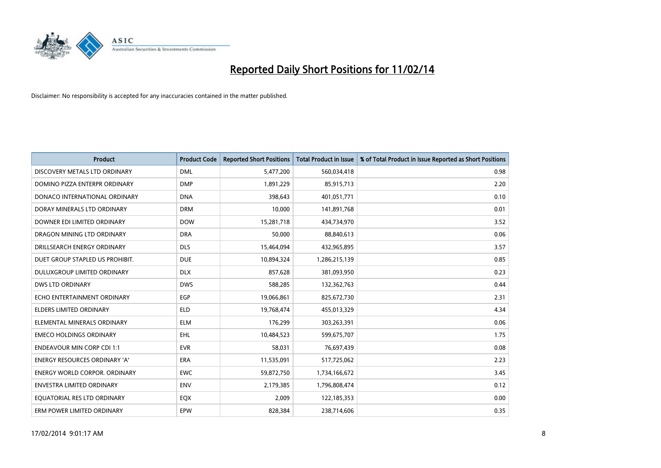

| <b>Product</b>                       | <b>Product Code</b> | <b>Reported Short Positions</b> | <b>Total Product in Issue</b> | % of Total Product in Issue Reported as Short Positions |
|--------------------------------------|---------------------|---------------------------------|-------------------------------|---------------------------------------------------------|
| DISCOVERY METALS LTD ORDINARY        | <b>DML</b>          | 5,477,200                       | 560,034,418                   | 0.98                                                    |
| DOMINO PIZZA ENTERPR ORDINARY        | <b>DMP</b>          | 1,891,229                       | 85,915,713                    | 2.20                                                    |
| DONACO INTERNATIONAL ORDINARY        | <b>DNA</b>          | 398,643                         | 401,051,771                   | 0.10                                                    |
| DORAY MINERALS LTD ORDINARY          | <b>DRM</b>          | 10,000                          | 141,891,768                   | 0.01                                                    |
| DOWNER EDI LIMITED ORDINARY          | <b>DOW</b>          | 15,281,718                      | 434,734,970                   | 3.52                                                    |
| DRAGON MINING LTD ORDINARY           | <b>DRA</b>          | 50,000                          | 88,840,613                    | 0.06                                                    |
| DRILLSEARCH ENERGY ORDINARY          | <b>DLS</b>          | 15,464,094                      | 432,965,895                   | 3.57                                                    |
| DUET GROUP STAPLED US PROHIBIT.      | <b>DUE</b>          | 10,894,324                      | 1,286,215,139                 | 0.85                                                    |
| DULUXGROUP LIMITED ORDINARY          | <b>DLX</b>          | 857,628                         | 381,093,950                   | 0.23                                                    |
| <b>DWS LTD ORDINARY</b>              | <b>DWS</b>          | 588,285                         | 132,362,763                   | 0.44                                                    |
| ECHO ENTERTAINMENT ORDINARY          | <b>EGP</b>          | 19,066,861                      | 825,672,730                   | 2.31                                                    |
| <b>ELDERS LIMITED ORDINARY</b>       | <b>ELD</b>          | 19,768,474                      | 455,013,329                   | 4.34                                                    |
| ELEMENTAL MINERALS ORDINARY          | <b>ELM</b>          | 176,299                         | 303,263,391                   | 0.06                                                    |
| <b>EMECO HOLDINGS ORDINARY</b>       | <b>EHL</b>          | 10,484,523                      | 599,675,707                   | 1.75                                                    |
| <b>ENDEAVOUR MIN CORP CDI 1:1</b>    | <b>EVR</b>          | 58,031                          | 76,697,439                    | 0.08                                                    |
| <b>ENERGY RESOURCES ORDINARY 'A'</b> | <b>ERA</b>          | 11,535,091                      | 517,725,062                   | 2.23                                                    |
| ENERGY WORLD CORPOR. ORDINARY        | <b>EWC</b>          | 59,872,750                      | 1,734,166,672                 | 3.45                                                    |
| <b>ENVESTRA LIMITED ORDINARY</b>     | <b>ENV</b>          | 2,179,385                       | 1,796,808,474                 | 0.12                                                    |
| EQUATORIAL RES LTD ORDINARY          | EQX                 | 2,009                           | 122,185,353                   | 0.00                                                    |
| ERM POWER LIMITED ORDINARY           | EPW                 | 828,384                         | 238,714,606                   | 0.35                                                    |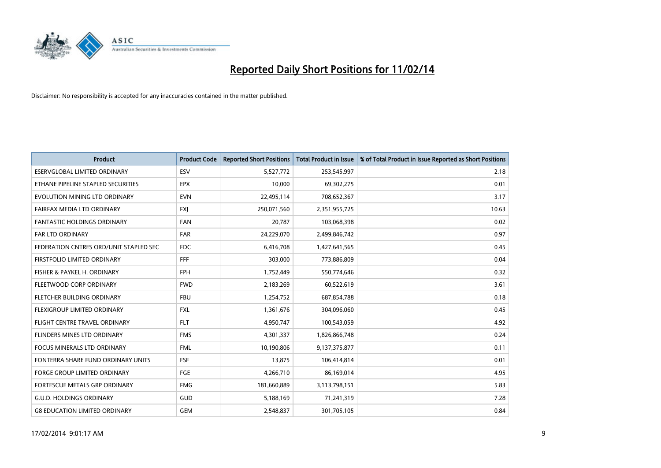

| <b>Product</b>                         | <b>Product Code</b> | <b>Reported Short Positions</b> | <b>Total Product in Issue</b> | % of Total Product in Issue Reported as Short Positions |
|----------------------------------------|---------------------|---------------------------------|-------------------------------|---------------------------------------------------------|
| <b>ESERVGLOBAL LIMITED ORDINARY</b>    | ESV                 | 5,527,772                       | 253,545,997                   | 2.18                                                    |
| ETHANE PIPELINE STAPLED SECURITIES     | <b>EPX</b>          | 10,000                          | 69,302,275                    | 0.01                                                    |
| EVOLUTION MINING LTD ORDINARY          | <b>EVN</b>          | 22,495,114                      | 708,652,367                   | 3.17                                                    |
| FAIRFAX MEDIA LTD ORDINARY             | FXJ                 | 250,071,560                     | 2,351,955,725                 | 10.63                                                   |
| <b>FANTASTIC HOLDINGS ORDINARY</b>     | <b>FAN</b>          | 20,787                          | 103,068,398                   | 0.02                                                    |
| <b>FAR LTD ORDINARY</b>                | <b>FAR</b>          | 24,229,070                      | 2,499,846,742                 | 0.97                                                    |
| FEDERATION CNTRES ORD/UNIT STAPLED SEC | FDC                 | 6,416,708                       | 1,427,641,565                 | 0.45                                                    |
| FIRSTFOLIO LIMITED ORDINARY            | FFF.                | 303,000                         | 773,886,809                   | 0.04                                                    |
| FISHER & PAYKEL H. ORDINARY            | <b>FPH</b>          | 1,752,449                       | 550,774,646                   | 0.32                                                    |
| FLEETWOOD CORP ORDINARY                | <b>FWD</b>          | 2,183,269                       | 60,522,619                    | 3.61                                                    |
| FLETCHER BUILDING ORDINARY             | <b>FBU</b>          | 1,254,752                       | 687,854,788                   | 0.18                                                    |
| FLEXIGROUP LIMITED ORDINARY            | FXL                 | 1,361,676                       | 304,096,060                   | 0.45                                                    |
| FLIGHT CENTRE TRAVEL ORDINARY          | <b>FLT</b>          | 4,950,747                       | 100,543,059                   | 4.92                                                    |
| <b>FLINDERS MINES LTD ORDINARY</b>     | <b>FMS</b>          | 4,301,337                       | 1,826,866,748                 | 0.24                                                    |
| <b>FOCUS MINERALS LTD ORDINARY</b>     | <b>FML</b>          | 10,190,806                      | 9,137,375,877                 | 0.11                                                    |
| FONTERRA SHARE FUND ORDINARY UNITS     | <b>FSF</b>          | 13,875                          | 106,414,814                   | 0.01                                                    |
| FORGE GROUP LIMITED ORDINARY           | FGE                 | 4,266,710                       | 86,169,014                    | 4.95                                                    |
| FORTESCUE METALS GRP ORDINARY          | <b>FMG</b>          | 181,660,889                     | 3,113,798,151                 | 5.83                                                    |
| <b>G.U.D. HOLDINGS ORDINARY</b>        | GUD                 | 5,188,169                       | 71,241,319                    | 7.28                                                    |
| <b>G8 EDUCATION LIMITED ORDINARY</b>   | <b>GEM</b>          | 2,548,837                       | 301,705,105                   | 0.84                                                    |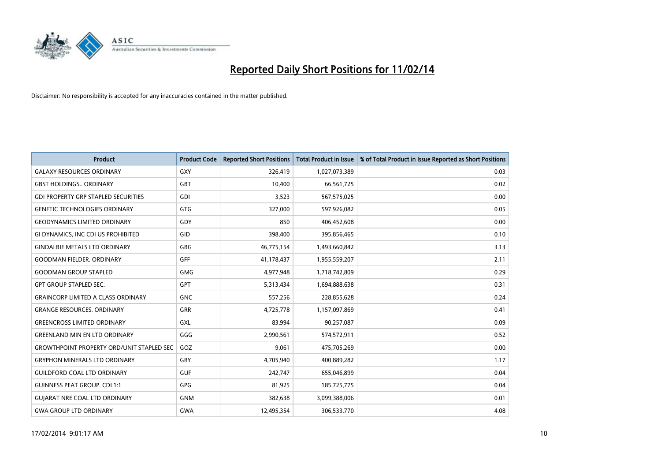

| Product                                          | <b>Product Code</b> | <b>Reported Short Positions</b> | <b>Total Product in Issue</b> | % of Total Product in Issue Reported as Short Positions |
|--------------------------------------------------|---------------------|---------------------------------|-------------------------------|---------------------------------------------------------|
| <b>GALAXY RESOURCES ORDINARY</b>                 | GXY                 | 326,419                         | 1,027,073,389                 | 0.03                                                    |
| <b>GBST HOLDINGS ORDINARY</b>                    | <b>GBT</b>          | 10,400                          | 66,561,725                    | 0.02                                                    |
| <b>GDI PROPERTY GRP STAPLED SECURITIES</b>       | GDI                 | 3,523                           | 567,575,025                   | 0.00                                                    |
| <b>GENETIC TECHNOLOGIES ORDINARY</b>             | GTG                 | 327,000                         | 597,926,082                   | 0.05                                                    |
| <b>GEODYNAMICS LIMITED ORDINARY</b>              | GDY                 | 850                             | 406,452,608                   | 0.00                                                    |
| GI DYNAMICS, INC CDI US PROHIBITED               | GID                 | 398,400                         | 395,856,465                   | 0.10                                                    |
| <b>GINDALBIE METALS LTD ORDINARY</b>             | GBG                 | 46,775,154                      | 1,493,660,842                 | 3.13                                                    |
| <b>GOODMAN FIELDER, ORDINARY</b>                 | <b>GFF</b>          | 41,178,437                      | 1,955,559,207                 | 2.11                                                    |
| <b>GOODMAN GROUP STAPLED</b>                     | <b>GMG</b>          | 4,977,948                       | 1,718,742,809                 | 0.29                                                    |
| <b>GPT GROUP STAPLED SEC.</b>                    | <b>GPT</b>          | 5,313,434                       | 1,694,888,638                 | 0.31                                                    |
| <b>GRAINCORP LIMITED A CLASS ORDINARY</b>        | <b>GNC</b>          | 557,256                         | 228,855,628                   | 0.24                                                    |
| <b>GRANGE RESOURCES, ORDINARY</b>                | GRR                 | 4,725,778                       | 1,157,097,869                 | 0.41                                                    |
| <b>GREENCROSS LIMITED ORDINARY</b>               | GXL                 | 83,994                          | 90,257,087                    | 0.09                                                    |
| <b>GREENLAND MIN EN LTD ORDINARY</b>             | GGG                 | 2,990,561                       | 574,572,911                   | 0.52                                                    |
| <b>GROWTHPOINT PROPERTY ORD/UNIT STAPLED SEC</b> | GOZ                 | 9,061                           | 475,705,269                   | 0.00                                                    |
| <b>GRYPHON MINERALS LTD ORDINARY</b>             | GRY                 | 4,705,940                       | 400,889,282                   | 1.17                                                    |
| <b>GUILDFORD COAL LTD ORDINARY</b>               | <b>GUF</b>          | 242,747                         | 655,046,899                   | 0.04                                                    |
| <b>GUINNESS PEAT GROUP. CDI 1:1</b>              | GPG                 | 81,925                          | 185,725,775                   | 0.04                                                    |
| <b>GUIARAT NRE COAL LTD ORDINARY</b>             | <b>GNM</b>          | 382,638                         | 3,099,388,006                 | 0.01                                                    |
| <b>GWA GROUP LTD ORDINARY</b>                    | <b>GWA</b>          | 12,495,354                      | 306,533,770                   | 4.08                                                    |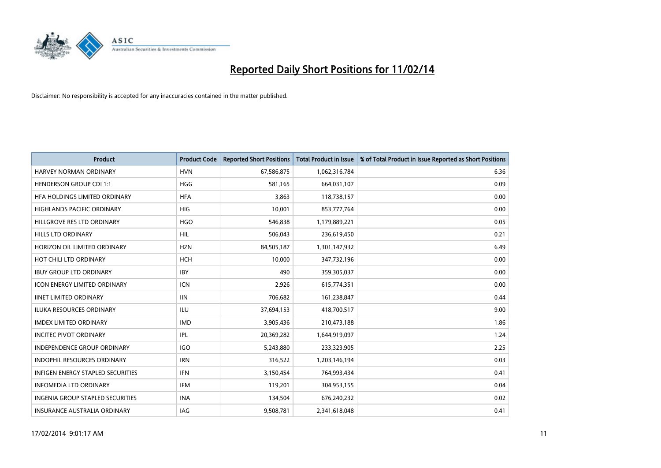

| <b>Product</b>                           | <b>Product Code</b> | <b>Reported Short Positions</b> | <b>Total Product in Issue</b> | % of Total Product in Issue Reported as Short Positions |
|------------------------------------------|---------------------|---------------------------------|-------------------------------|---------------------------------------------------------|
| <b>HARVEY NORMAN ORDINARY</b>            | <b>HVN</b>          | 67,586,875                      | 1,062,316,784                 | 6.36                                                    |
| <b>HENDERSON GROUP CDI 1:1</b>           | <b>HGG</b>          | 581.165                         | 664,031,107                   | 0.09                                                    |
| HFA HOLDINGS LIMITED ORDINARY            | <b>HFA</b>          | 3,863                           | 118,738,157                   | 0.00                                                    |
| HIGHLANDS PACIFIC ORDINARY               | HIG                 | 10,001                          | 853,777,764                   | 0.00                                                    |
| HILLGROVE RES LTD ORDINARY               | <b>HGO</b>          | 546,838                         | 1,179,889,221                 | 0.05                                                    |
| <b>HILLS LTD ORDINARY</b>                | <b>HIL</b>          | 506,043                         | 236,619,450                   | 0.21                                                    |
| HORIZON OIL LIMITED ORDINARY             | <b>HZN</b>          | 84,505,187                      | 1,301,147,932                 | 6.49                                                    |
| HOT CHILI LTD ORDINARY                   | <b>HCH</b>          | 10,000                          | 347,732,196                   | 0.00                                                    |
| <b>IBUY GROUP LTD ORDINARY</b>           | <b>IBY</b>          | 490                             | 359,305,037                   | 0.00                                                    |
| <b>ICON ENERGY LIMITED ORDINARY</b>      | <b>ICN</b>          | 2,926                           | 615,774,351                   | 0.00                                                    |
| <b>IINET LIMITED ORDINARY</b>            | <b>IIN</b>          | 706,682                         | 161,238,847                   | 0.44                                                    |
| <b>ILUKA RESOURCES ORDINARY</b>          | ILU                 | 37,694,153                      | 418,700,517                   | 9.00                                                    |
| <b>IMDEX LIMITED ORDINARY</b>            | <b>IMD</b>          | 3,905,436                       | 210,473,188                   | 1.86                                                    |
| <b>INCITEC PIVOT ORDINARY</b>            | IPL                 | 20,369,282                      | 1,644,919,097                 | 1.24                                                    |
| <b>INDEPENDENCE GROUP ORDINARY</b>       | IGO                 | 5,243,880                       | 233,323,905                   | 2.25                                                    |
| <b>INDOPHIL RESOURCES ORDINARY</b>       | <b>IRN</b>          | 316,522                         | 1,203,146,194                 | 0.03                                                    |
| <b>INFIGEN ENERGY STAPLED SECURITIES</b> | <b>IFN</b>          | 3,150,454                       | 764,993,434                   | 0.41                                                    |
| <b>INFOMEDIA LTD ORDINARY</b>            | <b>IFM</b>          | 119,201                         | 304,953,155                   | 0.04                                                    |
| <b>INGENIA GROUP STAPLED SECURITIES</b>  | <b>INA</b>          | 134,504                         | 676,240,232                   | 0.02                                                    |
| INSURANCE AUSTRALIA ORDINARY             | IAG                 | 9,508,781                       | 2,341,618,048                 | 0.41                                                    |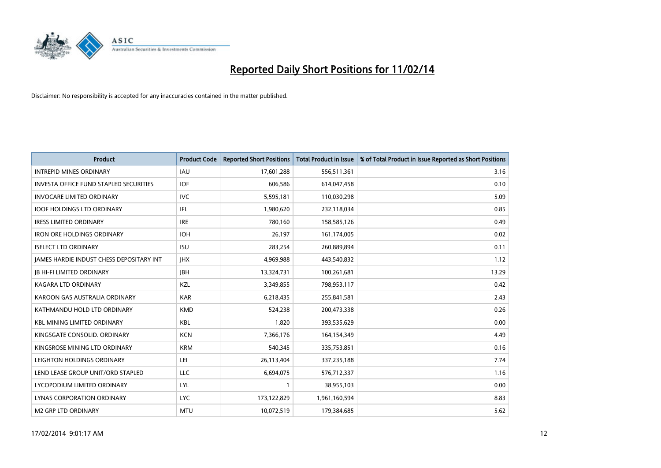

| Product                                       | <b>Product Code</b> | <b>Reported Short Positions</b> | <b>Total Product in Issue</b> | % of Total Product in Issue Reported as Short Positions |
|-----------------------------------------------|---------------------|---------------------------------|-------------------------------|---------------------------------------------------------|
| <b>INTREPID MINES ORDINARY</b>                | <b>IAU</b>          | 17,601,288                      | 556,511,361                   | 3.16                                                    |
| <b>INVESTA OFFICE FUND STAPLED SECURITIES</b> | <b>IOF</b>          | 606,586                         | 614,047,458                   | 0.10                                                    |
| <b>INVOCARE LIMITED ORDINARY</b>              | <b>IVC</b>          | 5,595,181                       | 110,030,298                   | 5.09                                                    |
| <b>IOOF HOLDINGS LTD ORDINARY</b>             | IFL                 | 1,980,620                       | 232,118,034                   | 0.85                                                    |
| <b>IRESS LIMITED ORDINARY</b>                 | <b>IRE</b>          | 780,160                         | 158,585,126                   | 0.49                                                    |
| <b>IRON ORE HOLDINGS ORDINARY</b>             | <b>IOH</b>          | 26,197                          | 161,174,005                   | 0.02                                                    |
| <b>ISELECT LTD ORDINARY</b>                   | <b>ISU</b>          | 283,254                         | 260,889,894                   | 0.11                                                    |
| JAMES HARDIE INDUST CHESS DEPOSITARY INT      | <b>IHX</b>          | 4,969,988                       | 443,540,832                   | 1.12                                                    |
| <b>JB HI-FI LIMITED ORDINARY</b>              | <b>IBH</b>          | 13,324,731                      | 100,261,681                   | 13.29                                                   |
| <b>KAGARA LTD ORDINARY</b>                    | KZL                 | 3,349,855                       | 798,953,117                   | 0.42                                                    |
| KAROON GAS AUSTRALIA ORDINARY                 | <b>KAR</b>          | 6,218,435                       | 255,841,581                   | 2.43                                                    |
| KATHMANDU HOLD LTD ORDINARY                   | <b>KMD</b>          | 524,238                         | 200,473,338                   | 0.26                                                    |
| <b>KBL MINING LIMITED ORDINARY</b>            | <b>KBL</b>          | 1,820                           | 393,535,629                   | 0.00                                                    |
| KINGSGATE CONSOLID, ORDINARY                  | <b>KCN</b>          | 7,366,176                       | 164,154,349                   | 4.49                                                    |
| KINGSROSE MINING LTD ORDINARY                 | <b>KRM</b>          | 540,345                         | 335,753,851                   | 0.16                                                    |
| LEIGHTON HOLDINGS ORDINARY                    | LEI                 | 26,113,404                      | 337,235,188                   | 7.74                                                    |
| LEND LEASE GROUP UNIT/ORD STAPLED             | LLC                 | 6,694,075                       | 576,712,337                   | 1.16                                                    |
| LYCOPODIUM LIMITED ORDINARY                   | <b>LYL</b>          | 1                               | 38,955,103                    | 0.00                                                    |
| LYNAS CORPORATION ORDINARY                    | <b>LYC</b>          | 173,122,829                     | 1,961,160,594                 | 8.83                                                    |
| <b>M2 GRP LTD ORDINARY</b>                    | <b>MTU</b>          | 10,072,519                      | 179,384,685                   | 5.62                                                    |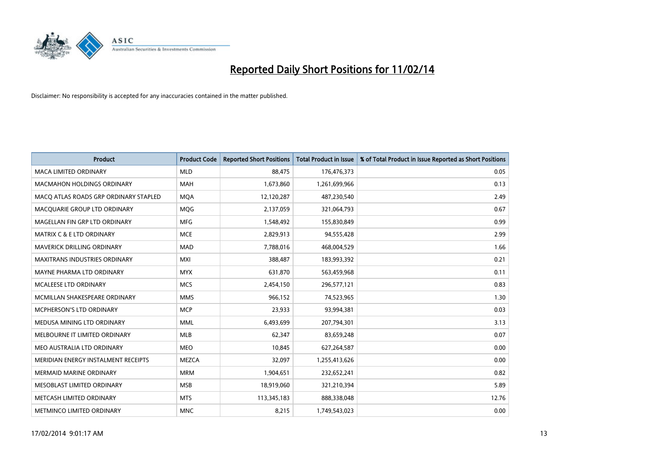

| <b>Product</b>                        | <b>Product Code</b> | <b>Reported Short Positions</b> | <b>Total Product in Issue</b> | % of Total Product in Issue Reported as Short Positions |
|---------------------------------------|---------------------|---------------------------------|-------------------------------|---------------------------------------------------------|
| <b>MACA LIMITED ORDINARY</b>          | <b>MLD</b>          | 88,475                          | 176,476,373                   | 0.05                                                    |
| <b>MACMAHON HOLDINGS ORDINARY</b>     | <b>MAH</b>          | 1,673,860                       | 1,261,699,966                 | 0.13                                                    |
| MACO ATLAS ROADS GRP ORDINARY STAPLED | <b>MOA</b>          | 12,120,287                      | 487,230,540                   | 2.49                                                    |
| MACQUARIE GROUP LTD ORDINARY          | <b>MOG</b>          | 2,137,059                       | 321,064,793                   | 0.67                                                    |
| MAGELLAN FIN GRP LTD ORDINARY         | <b>MFG</b>          | 1,548,492                       | 155,830,849                   | 0.99                                                    |
| <b>MATRIX C &amp; E LTD ORDINARY</b>  | <b>MCE</b>          | 2,829,913                       | 94,555,428                    | 2.99                                                    |
| MAVERICK DRILLING ORDINARY            | <b>MAD</b>          | 7,788,016                       | 468,004,529                   | 1.66                                                    |
| MAXITRANS INDUSTRIES ORDINARY         | <b>MXI</b>          | 388,487                         | 183,993,392                   | 0.21                                                    |
| MAYNE PHARMA LTD ORDINARY             | <b>MYX</b>          | 631,870                         | 563,459,968                   | 0.11                                                    |
| MCALEESE LTD ORDINARY                 | <b>MCS</b>          | 2,454,150                       | 296,577,121                   | 0.83                                                    |
| MCMILLAN SHAKESPEARE ORDINARY         | <b>MMS</b>          | 966,152                         | 74,523,965                    | 1.30                                                    |
| MCPHERSON'S LTD ORDINARY              | <b>MCP</b>          | 23,933                          | 93,994,381                    | 0.03                                                    |
| MEDUSA MINING LTD ORDINARY            | <b>MML</b>          | 6,493,699                       | 207,794,301                   | 3.13                                                    |
| MELBOURNE IT LIMITED ORDINARY         | <b>MLB</b>          | 62,347                          | 83,659,248                    | 0.07                                                    |
| MEO AUSTRALIA LTD ORDINARY            | <b>MEO</b>          | 10,845                          | 627,264,587                   | 0.00                                                    |
| MERIDIAN ENERGY INSTALMENT RECEIPTS   | <b>MEZCA</b>        | 32,097                          | 1,255,413,626                 | 0.00                                                    |
| MERMAID MARINE ORDINARY               | <b>MRM</b>          | 1,904,651                       | 232,652,241                   | 0.82                                                    |
| MESOBLAST LIMITED ORDINARY            | <b>MSB</b>          | 18,919,060                      | 321,210,394                   | 5.89                                                    |
| METCASH LIMITED ORDINARY              | <b>MTS</b>          | 113,345,183                     | 888,338,048                   | 12.76                                                   |
| METMINCO LIMITED ORDINARY             | <b>MNC</b>          | 8,215                           | 1,749,543,023                 | 0.00                                                    |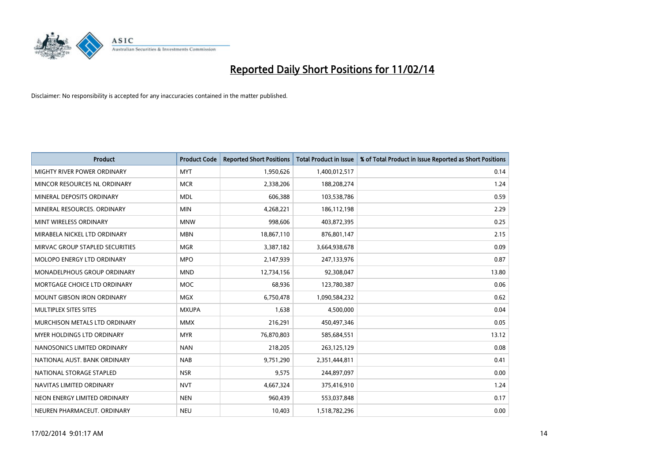

| <b>Product</b>                    | <b>Product Code</b> | <b>Reported Short Positions</b> | <b>Total Product in Issue</b> | % of Total Product in Issue Reported as Short Positions |
|-----------------------------------|---------------------|---------------------------------|-------------------------------|---------------------------------------------------------|
| MIGHTY RIVER POWER ORDINARY       | <b>MYT</b>          | 1,950,626                       | 1,400,012,517                 | 0.14                                                    |
| MINCOR RESOURCES NL ORDINARY      | <b>MCR</b>          | 2,338,206                       | 188,208,274                   | 1.24                                                    |
| MINERAL DEPOSITS ORDINARY         | <b>MDL</b>          | 606,388                         | 103,538,786                   | 0.59                                                    |
| MINERAL RESOURCES. ORDINARY       | <b>MIN</b>          | 4,268,221                       | 186,112,198                   | 2.29                                                    |
| MINT WIRELESS ORDINARY            | <b>MNW</b>          | 998,606                         | 403,872,395                   | 0.25                                                    |
| MIRABELA NICKEL LTD ORDINARY      | <b>MBN</b>          | 18,867,110                      | 876,801,147                   | 2.15                                                    |
| MIRVAC GROUP STAPLED SECURITIES   | <b>MGR</b>          | 3,387,182                       | 3,664,938,678                 | 0.09                                                    |
| MOLOPO ENERGY LTD ORDINARY        | <b>MPO</b>          | 2,147,939                       | 247,133,976                   | 0.87                                                    |
| MONADELPHOUS GROUP ORDINARY       | <b>MND</b>          | 12,734,156                      | 92,308,047                    | 13.80                                                   |
| MORTGAGE CHOICE LTD ORDINARY      | <b>MOC</b>          | 68,936                          | 123,780,387                   | 0.06                                                    |
| <b>MOUNT GIBSON IRON ORDINARY</b> | MGX                 | 6,750,478                       | 1,090,584,232                 | 0.62                                                    |
| MULTIPLEX SITES SITES             | <b>MXUPA</b>        | 1,638                           | 4,500,000                     | 0.04                                                    |
| MURCHISON METALS LTD ORDINARY     | <b>MMX</b>          | 216,291                         | 450,497,346                   | 0.05                                                    |
| MYER HOLDINGS LTD ORDINARY        | <b>MYR</b>          | 76,870,803                      | 585,684,551                   | 13.12                                                   |
| NANOSONICS LIMITED ORDINARY       | <b>NAN</b>          | 218,205                         | 263,125,129                   | 0.08                                                    |
| NATIONAL AUST, BANK ORDINARY      | <b>NAB</b>          | 9,751,290                       | 2,351,444,811                 | 0.41                                                    |
| NATIONAL STORAGE STAPLED          | <b>NSR</b>          | 9,575                           | 244,897,097                   | 0.00                                                    |
| NAVITAS LIMITED ORDINARY          | <b>NVT</b>          | 4,667,324                       | 375,416,910                   | 1.24                                                    |
| NEON ENERGY LIMITED ORDINARY      | <b>NEN</b>          | 960,439                         | 553,037,848                   | 0.17                                                    |
| NEUREN PHARMACEUT. ORDINARY       | <b>NEU</b>          | 10,403                          | 1,518,782,296                 | 0.00                                                    |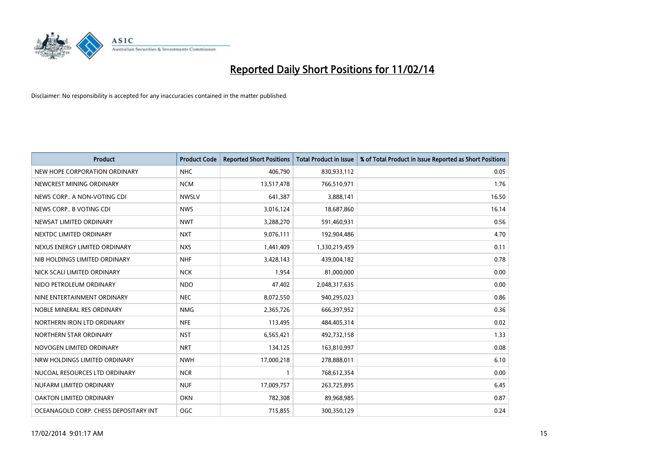

| Product                               | <b>Product Code</b> | <b>Reported Short Positions</b> | <b>Total Product in Issue</b> | % of Total Product in Issue Reported as Short Positions |
|---------------------------------------|---------------------|---------------------------------|-------------------------------|---------------------------------------------------------|
| NEW HOPE CORPORATION ORDINARY         | <b>NHC</b>          | 406,790                         | 830,933,112                   | 0.05                                                    |
| NEWCREST MINING ORDINARY              | <b>NCM</b>          | 13,517,478                      | 766,510,971                   | 1.76                                                    |
| NEWS CORP A NON-VOTING CDI            | <b>NWSLV</b>        | 641,387                         | 3,888,141                     | 16.50                                                   |
| NEWS CORP B VOTING CDI                | <b>NWS</b>          | 3,016,124                       | 18,687,860                    | 16.14                                                   |
| NEWSAT LIMITED ORDINARY               | <b>NWT</b>          | 3,288,270                       | 591,460,931                   | 0.56                                                    |
| NEXTDC LIMITED ORDINARY               | <b>NXT</b>          | 9,076,111                       | 192,904,486                   | 4.70                                                    |
| NEXUS ENERGY LIMITED ORDINARY         | <b>NXS</b>          | 1,441,409                       | 1,330,219,459                 | 0.11                                                    |
| NIB HOLDINGS LIMITED ORDINARY         | <b>NHF</b>          | 3,428,143                       | 439,004,182                   | 0.78                                                    |
| NICK SCALI LIMITED ORDINARY           | <b>NCK</b>          | 1,954                           | 81,000,000                    | 0.00                                                    |
| NIDO PETROLEUM ORDINARY               | <b>NDO</b>          | 47,402                          | 2,048,317,635                 | 0.00                                                    |
| NINE ENTERTAINMENT ORDINARY           | <b>NEC</b>          | 8,072,550                       | 940,295,023                   | 0.86                                                    |
| NOBLE MINERAL RES ORDINARY            | <b>NMG</b>          | 2,365,726                       | 666,397,952                   | 0.36                                                    |
| NORTHERN IRON LTD ORDINARY            | <b>NFE</b>          | 113,495                         | 484,405,314                   | 0.02                                                    |
| NORTHERN STAR ORDINARY                | <b>NST</b>          | 6,565,421                       | 492,732,158                   | 1.33                                                    |
| NOVOGEN LIMITED ORDINARY              | <b>NRT</b>          | 134,125                         | 163,810,997                   | 0.08                                                    |
| NRW HOLDINGS LIMITED ORDINARY         | <b>NWH</b>          | 17,000,218                      | 278,888,011                   | 6.10                                                    |
| NUCOAL RESOURCES LTD ORDINARY         | <b>NCR</b>          | 1                               | 768,612,354                   | 0.00                                                    |
| NUFARM LIMITED ORDINARY               | <b>NUF</b>          | 17,009,757                      | 263,725,895                   | 6.45                                                    |
| OAKTON LIMITED ORDINARY               | <b>OKN</b>          | 782,308                         | 89,968,985                    | 0.87                                                    |
| OCEANAGOLD CORP. CHESS DEPOSITARY INT | OGC                 | 715,855                         | 300,350,129                   | 0.24                                                    |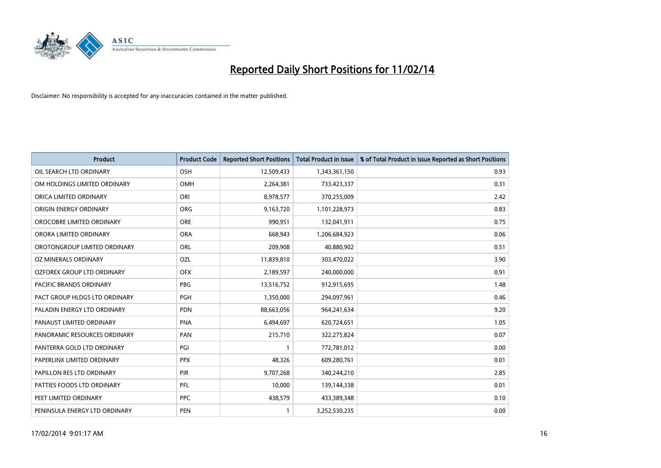

| <b>Product</b>                 | <b>Product Code</b> | <b>Reported Short Positions</b> | <b>Total Product in Issue</b> | % of Total Product in Issue Reported as Short Positions |
|--------------------------------|---------------------|---------------------------------|-------------------------------|---------------------------------------------------------|
| OIL SEARCH LTD ORDINARY        | OSH                 | 12,509,433                      | 1,343,361,150                 | 0.93                                                    |
| OM HOLDINGS LIMITED ORDINARY   | OMH                 | 2,264,381                       | 733,423,337                   | 0.31                                                    |
| ORICA LIMITED ORDINARY         | ORI                 | 8,978,577                       | 370,255,009                   | 2.42                                                    |
| ORIGIN ENERGY ORDINARY         | <b>ORG</b>          | 9,163,720                       | 1,101,228,973                 | 0.83                                                    |
| OROCOBRE LIMITED ORDINARY      | <b>ORE</b>          | 990,951                         | 132,041,911                   | 0.75                                                    |
| ORORA LIMITED ORDINARY         | <b>ORA</b>          | 668,943                         | 1,206,684,923                 | 0.06                                                    |
| OROTONGROUP LIMITED ORDINARY   | ORL                 | 209,908                         | 40,880,902                    | 0.51                                                    |
| OZ MINERALS ORDINARY           | OZL                 | 11,839,810                      | 303,470,022                   | 3.90                                                    |
| OZFOREX GROUP LTD ORDINARY     | <b>OFX</b>          | 2,189,597                       | 240,000,000                   | 0.91                                                    |
| <b>PACIFIC BRANDS ORDINARY</b> | <b>PBG</b>          | 13,516,752                      | 912,915,695                   | 1.48                                                    |
| PACT GROUP HLDGS LTD ORDINARY  | PGH                 | 1,350,000                       | 294,097,961                   | 0.46                                                    |
| PALADIN ENERGY LTD ORDINARY    | <b>PDN</b>          | 88,663,056                      | 964,241,634                   | 9.20                                                    |
| PANAUST LIMITED ORDINARY       | <b>PNA</b>          | 6,494,697                       | 620,724,651                   | 1.05                                                    |
| PANORAMIC RESOURCES ORDINARY   | PAN                 | 215,710                         | 322,275,824                   | 0.07                                                    |
| PANTERRA GOLD LTD ORDINARY     | PGI                 | $\mathbf{1}$                    | 772,781,012                   | 0.00                                                    |
| PAPERLINX LIMITED ORDINARY     | <b>PPX</b>          | 48,326                          | 609,280,761                   | 0.01                                                    |
| PAPILLON RES LTD ORDINARY      | PIR                 | 9,707,268                       | 340,244,210                   | 2.85                                                    |
| PATTIES FOODS LTD ORDINARY     | <b>PFL</b>          | 10,000                          | 139,144,338                   | 0.01                                                    |
| PEET LIMITED ORDINARY          | <b>PPC</b>          | 438,579                         | 433,389,348                   | 0.10                                                    |
| PENINSULA ENERGY LTD ORDINARY  | <b>PEN</b>          | 1                               | 3,252,530,235                 | 0.00                                                    |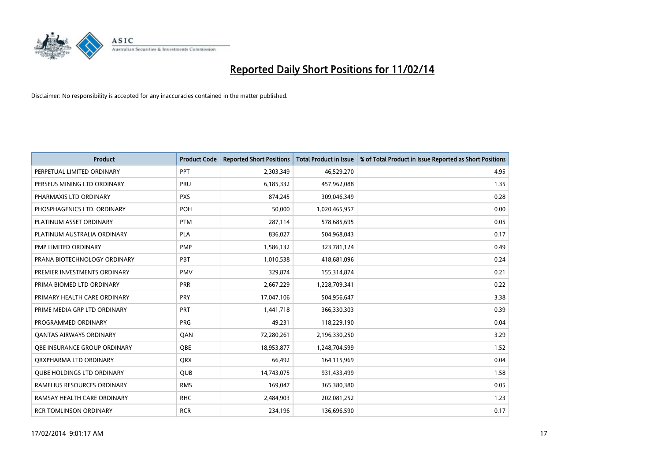

| <b>Product</b>                    | <b>Product Code</b> | <b>Reported Short Positions</b> | <b>Total Product in Issue</b> | % of Total Product in Issue Reported as Short Positions |
|-----------------------------------|---------------------|---------------------------------|-------------------------------|---------------------------------------------------------|
| PERPETUAL LIMITED ORDINARY        | PPT                 | 2,303,349                       | 46,529,270                    | 4.95                                                    |
| PERSEUS MINING LTD ORDINARY       | <b>PRU</b>          | 6,185,332                       | 457,962,088                   | 1.35                                                    |
| PHARMAXIS LTD ORDINARY            | <b>PXS</b>          | 874,245                         | 309,046,349                   | 0.28                                                    |
| PHOSPHAGENICS LTD. ORDINARY       | <b>POH</b>          | 50,000                          | 1,020,465,957                 | 0.00                                                    |
| PLATINUM ASSET ORDINARY           | <b>PTM</b>          | 287,114                         | 578,685,695                   | 0.05                                                    |
| PLATINUM AUSTRALIA ORDINARY       | <b>PLA</b>          | 836,027                         | 504,968,043                   | 0.17                                                    |
| PMP LIMITED ORDINARY              | <b>PMP</b>          | 1,586,132                       | 323,781,124                   | 0.49                                                    |
| PRANA BIOTECHNOLOGY ORDINARY      | <b>PBT</b>          | 1,010,538                       | 418,681,096                   | 0.24                                                    |
| PREMIER INVESTMENTS ORDINARY      | <b>PMV</b>          | 329,874                         | 155,314,874                   | 0.21                                                    |
| PRIMA BIOMED LTD ORDINARY         | <b>PRR</b>          | 2,667,229                       | 1,228,709,341                 | 0.22                                                    |
| PRIMARY HEALTH CARE ORDINARY      | <b>PRY</b>          | 17,047,106                      | 504,956,647                   | 3.38                                                    |
| PRIME MEDIA GRP LTD ORDINARY      | <b>PRT</b>          | 1,441,718                       | 366,330,303                   | 0.39                                                    |
| PROGRAMMED ORDINARY               | <b>PRG</b>          | 49,231                          | 118,229,190                   | 0.04                                                    |
| <b>QANTAS AIRWAYS ORDINARY</b>    | QAN                 | 72,280,261                      | 2,196,330,250                 | 3.29                                                    |
| OBE INSURANCE GROUP ORDINARY      | <b>OBE</b>          | 18,953,877                      | 1,248,704,599                 | 1.52                                                    |
| QRXPHARMA LTD ORDINARY            | <b>QRX</b>          | 66,492                          | 164,115,969                   | 0.04                                                    |
| <b>QUBE HOLDINGS LTD ORDINARY</b> | <b>QUB</b>          | 14,743,075                      | 931,433,499                   | 1.58                                                    |
| RAMELIUS RESOURCES ORDINARY       | <b>RMS</b>          | 169,047                         | 365,380,380                   | 0.05                                                    |
| RAMSAY HEALTH CARE ORDINARY       | <b>RHC</b>          | 2,484,903                       | 202,081,252                   | 1.23                                                    |
| <b>RCR TOMLINSON ORDINARY</b>     | <b>RCR</b>          | 234,196                         | 136,696,590                   | 0.17                                                    |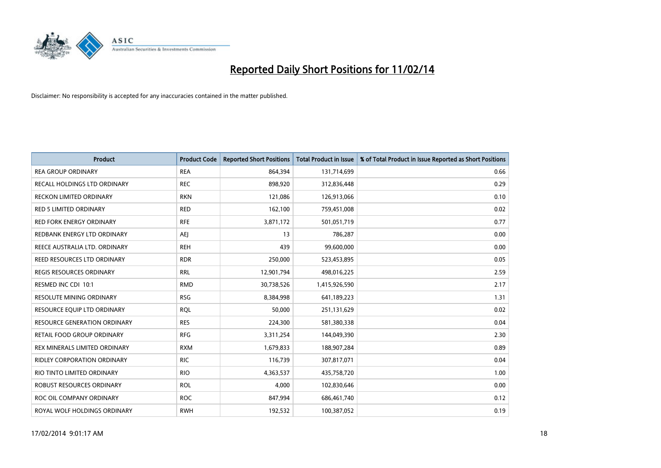

| <b>Product</b>                    | <b>Product Code</b> | <b>Reported Short Positions</b> | <b>Total Product in Issue</b> | % of Total Product in Issue Reported as Short Positions |
|-----------------------------------|---------------------|---------------------------------|-------------------------------|---------------------------------------------------------|
| <b>REA GROUP ORDINARY</b>         | <b>REA</b>          | 864,394                         | 131,714,699                   | 0.66                                                    |
| RECALL HOLDINGS LTD ORDINARY      | <b>REC</b>          | 898,920                         | 312,836,448                   | 0.29                                                    |
| <b>RECKON LIMITED ORDINARY</b>    | <b>RKN</b>          | 121,086                         | 126,913,066                   | 0.10                                                    |
| RED 5 LIMITED ORDINARY            | <b>RED</b>          | 162,100                         | 759,451,008                   | 0.02                                                    |
| <b>RED FORK ENERGY ORDINARY</b>   | <b>RFE</b>          | 3,871,172                       | 501,051,719                   | 0.77                                                    |
| REDBANK ENERGY LTD ORDINARY       | <b>AEJ</b>          | 13                              | 786,287                       | 0.00                                                    |
| REECE AUSTRALIA LTD. ORDINARY     | <b>REH</b>          | 439                             | 99,600,000                    | 0.00                                                    |
| REED RESOURCES LTD ORDINARY       | <b>RDR</b>          | 250,000                         | 523,453,895                   | 0.05                                                    |
| <b>REGIS RESOURCES ORDINARY</b>   | <b>RRL</b>          | 12,901,794                      | 498,016,225                   | 2.59                                                    |
| RESMED INC CDI 10:1               | <b>RMD</b>          | 30,738,526                      | 1,415,926,590                 | 2.17                                                    |
| RESOLUTE MINING ORDINARY          | <b>RSG</b>          | 8,384,998                       | 641,189,223                   | 1.31                                                    |
| RESOURCE EQUIP LTD ORDINARY       | <b>RQL</b>          | 50,000                          | 251,131,629                   | 0.02                                                    |
| RESOURCE GENERATION ORDINARY      | <b>RES</b>          | 224,300                         | 581,380,338                   | 0.04                                                    |
| <b>RETAIL FOOD GROUP ORDINARY</b> | <b>RFG</b>          | 3,311,254                       | 144,049,390                   | 2.30                                                    |
| REX MINERALS LIMITED ORDINARY     | <b>RXM</b>          | 1,679,833                       | 188,907,284                   | 0.89                                                    |
| RIDLEY CORPORATION ORDINARY       | <b>RIC</b>          | 116,739                         | 307,817,071                   | 0.04                                                    |
| RIO TINTO LIMITED ORDINARY        | <b>RIO</b>          | 4,363,537                       | 435,758,720                   | 1.00                                                    |
| ROBUST RESOURCES ORDINARY         | <b>ROL</b>          | 4,000                           | 102,830,646                   | 0.00                                                    |
| ROC OIL COMPANY ORDINARY          | <b>ROC</b>          | 847,994                         | 686,461,740                   | 0.12                                                    |
| ROYAL WOLF HOLDINGS ORDINARY      | <b>RWH</b>          | 192,532                         | 100,387,052                   | 0.19                                                    |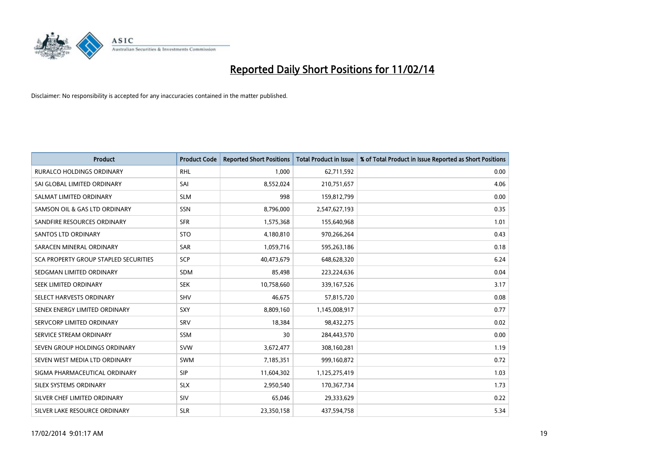

| <b>Product</b>                        | <b>Product Code</b> | <b>Reported Short Positions</b> | <b>Total Product in Issue</b> | % of Total Product in Issue Reported as Short Positions |
|---------------------------------------|---------------------|---------------------------------|-------------------------------|---------------------------------------------------------|
| <b>RURALCO HOLDINGS ORDINARY</b>      | <b>RHL</b>          | 1,000                           | 62,711,592                    | 0.00                                                    |
| SAI GLOBAL LIMITED ORDINARY           | SAI                 | 8,552,024                       | 210,751,657                   | 4.06                                                    |
| SALMAT LIMITED ORDINARY               | <b>SLM</b>          | 998                             | 159,812,799                   | 0.00                                                    |
| SAMSON OIL & GAS LTD ORDINARY         | SSN                 | 8,796,000                       | 2,547,627,193                 | 0.35                                                    |
| SANDFIRE RESOURCES ORDINARY           | <b>SFR</b>          | 1,575,368                       | 155,640,968                   | 1.01                                                    |
| SANTOS LTD ORDINARY                   | <b>STO</b>          | 4,180,810                       | 970,266,264                   | 0.43                                                    |
| SARACEN MINERAL ORDINARY              | <b>SAR</b>          | 1,059,716                       | 595,263,186                   | 0.18                                                    |
| SCA PROPERTY GROUP STAPLED SECURITIES | <b>SCP</b>          | 40,473,679                      | 648,628,320                   | 6.24                                                    |
| SEDGMAN LIMITED ORDINARY              | <b>SDM</b>          | 85,498                          | 223,224,636                   | 0.04                                                    |
| SEEK LIMITED ORDINARY                 | <b>SEK</b>          | 10,758,660                      | 339,167,526                   | 3.17                                                    |
| SELECT HARVESTS ORDINARY              | SHV                 | 46,675                          | 57,815,720                    | 0.08                                                    |
| SENEX ENERGY LIMITED ORDINARY         | <b>SXY</b>          | 8,809,160                       | 1,145,008,917                 | 0.77                                                    |
| SERVCORP LIMITED ORDINARY             | SRV                 | 18,384                          | 98,432,275                    | 0.02                                                    |
| SERVICE STREAM ORDINARY               | SSM                 | 30                              | 284,443,570                   | 0.00                                                    |
| SEVEN GROUP HOLDINGS ORDINARY         | <b>SVW</b>          | 3,672,477                       | 308,160,281                   | 1.19                                                    |
| SEVEN WEST MEDIA LTD ORDINARY         | SWM                 | 7,185,351                       | 999,160,872                   | 0.72                                                    |
| SIGMA PHARMACEUTICAL ORDINARY         | <b>SIP</b>          | 11,604,302                      | 1,125,275,419                 | 1.03                                                    |
| SILEX SYSTEMS ORDINARY                | <b>SLX</b>          | 2,950,540                       | 170,367,734                   | 1.73                                                    |
| SILVER CHEF LIMITED ORDINARY          | <b>SIV</b>          | 65,046                          | 29,333,629                    | 0.22                                                    |
| SILVER LAKE RESOURCE ORDINARY         | <b>SLR</b>          | 23,350,158                      | 437,594,758                   | 5.34                                                    |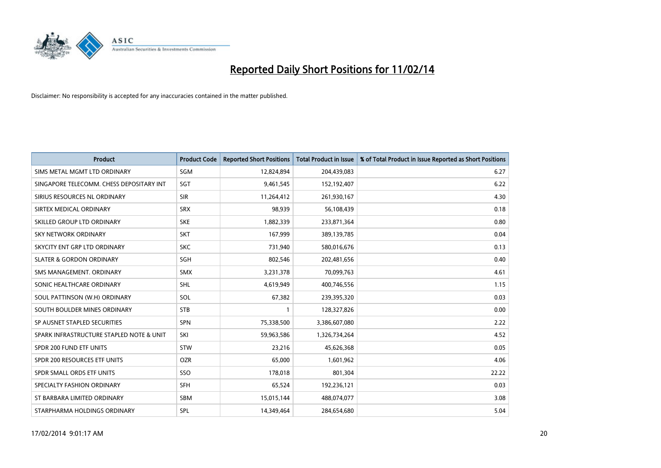

| <b>Product</b>                           | <b>Product Code</b> | <b>Reported Short Positions</b> | <b>Total Product in Issue</b> | % of Total Product in Issue Reported as Short Positions |
|------------------------------------------|---------------------|---------------------------------|-------------------------------|---------------------------------------------------------|
| SIMS METAL MGMT LTD ORDINARY             | SGM                 | 12,824,894                      | 204,439,083                   | 6.27                                                    |
| SINGAPORE TELECOMM. CHESS DEPOSITARY INT | SGT                 | 9,461,545                       | 152,192,407                   | 6.22                                                    |
| SIRIUS RESOURCES NL ORDINARY             | <b>SIR</b>          | 11,264,412                      | 261,930,167                   | 4.30                                                    |
| SIRTEX MEDICAL ORDINARY                  | <b>SRX</b>          | 98,939                          | 56,108,439                    | 0.18                                                    |
| SKILLED GROUP LTD ORDINARY               | <b>SKE</b>          | 1,882,339                       | 233,871,364                   | 0.80                                                    |
| <b>SKY NETWORK ORDINARY</b>              | <b>SKT</b>          | 167,999                         | 389,139,785                   | 0.04                                                    |
| SKYCITY ENT GRP LTD ORDINARY             | <b>SKC</b>          | 731,940                         | 580,016,676                   | 0.13                                                    |
| <b>SLATER &amp; GORDON ORDINARY</b>      | SGH                 | 802,546                         | 202,481,656                   | 0.40                                                    |
| SMS MANAGEMENT. ORDINARY                 | <b>SMX</b>          | 3,231,378                       | 70,099,763                    | 4.61                                                    |
| SONIC HEALTHCARE ORDINARY                | <b>SHL</b>          | 4,619,949                       | 400,746,556                   | 1.15                                                    |
| SOUL PATTINSON (W.H) ORDINARY            | <b>SOL</b>          | 67,382                          | 239,395,320                   | 0.03                                                    |
| SOUTH BOULDER MINES ORDINARY             | <b>STB</b>          | $\mathbf{1}$                    | 128,327,826                   | 0.00                                                    |
| SP AUSNET STAPLED SECURITIES             | <b>SPN</b>          | 75,338,500                      | 3,386,607,080                 | 2.22                                                    |
| SPARK INFRASTRUCTURE STAPLED NOTE & UNIT | SKI                 | 59,963,586                      | 1,326,734,264                 | 4.52                                                    |
| SPDR 200 FUND ETF UNITS                  | <b>STW</b>          | 23,216                          | 45,626,368                    | 0.05                                                    |
| SPDR 200 RESOURCES ETF UNITS             | <b>OZR</b>          | 65,000                          | 1,601,962                     | 4.06                                                    |
| SPDR SMALL ORDS ETF UNITS                | SSO                 | 178,018                         | 801,304                       | 22.22                                                   |
| SPECIALTY FASHION ORDINARY               | <b>SFH</b>          | 65,524                          | 192,236,121                   | 0.03                                                    |
| ST BARBARA LIMITED ORDINARY              | <b>SBM</b>          | 15,015,144                      | 488,074,077                   | 3.08                                                    |
| STARPHARMA HOLDINGS ORDINARY             | SPL                 | 14.349.464                      | 284,654,680                   | 5.04                                                    |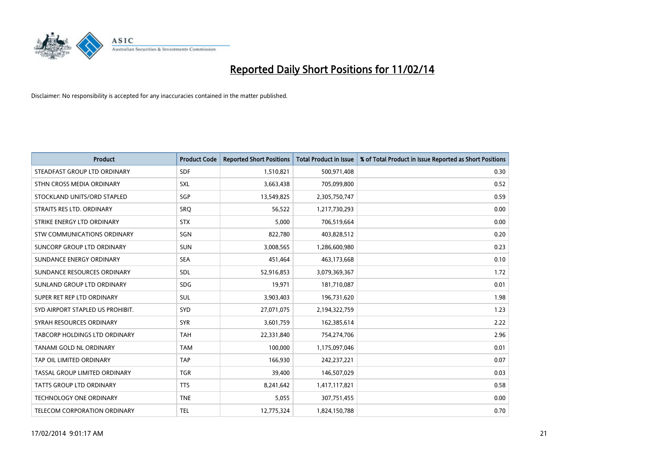

| <b>Product</b>                       | <b>Product Code</b> | <b>Reported Short Positions</b> | <b>Total Product in Issue</b> | % of Total Product in Issue Reported as Short Positions |
|--------------------------------------|---------------------|---------------------------------|-------------------------------|---------------------------------------------------------|
| STEADFAST GROUP LTD ORDINARY         | <b>SDF</b>          | 1,510,821                       | 500,971,408                   | 0.30                                                    |
| STHN CROSS MEDIA ORDINARY            | <b>SXL</b>          | 3,663,438                       | 705,099,800                   | 0.52                                                    |
| STOCKLAND UNITS/ORD STAPLED          | SGP                 | 13,549,825                      | 2,305,750,747                 | 0.59                                                    |
| STRAITS RES LTD. ORDINARY            | <b>SRQ</b>          | 56,522                          | 1,217,730,293                 | 0.00                                                    |
| STRIKE ENERGY LTD ORDINARY           | <b>STX</b>          | 5,000                           | 706,519,664                   | 0.00                                                    |
| STW COMMUNICATIONS ORDINARY          | SGN                 | 822,780                         | 403,828,512                   | 0.20                                                    |
| SUNCORP GROUP LTD ORDINARY           | <b>SUN</b>          | 3,008,565                       | 1,286,600,980                 | 0.23                                                    |
| SUNDANCE ENERGY ORDINARY             | <b>SEA</b>          | 451,464                         | 463,173,668                   | 0.10                                                    |
| SUNDANCE RESOURCES ORDINARY          | SDL                 | 52,916,853                      | 3,079,369,367                 | 1.72                                                    |
| SUNLAND GROUP LTD ORDINARY           | <b>SDG</b>          | 19,971                          | 181,710,087                   | 0.01                                                    |
| SUPER RET REP LTD ORDINARY           | SUL                 | 3,903,403                       | 196,731,620                   | 1.98                                                    |
| SYD AIRPORT STAPLED US PROHIBIT.     | <b>SYD</b>          | 27,071,075                      | 2,194,322,759                 | 1.23                                                    |
| SYRAH RESOURCES ORDINARY             | <b>SYR</b>          | 3,601,759                       | 162,385,614                   | 2.22                                                    |
| <b>TABCORP HOLDINGS LTD ORDINARY</b> | <b>TAH</b>          | 22,331,840                      | 754,274,706                   | 2.96                                                    |
| TANAMI GOLD NL ORDINARY              | <b>TAM</b>          | 100,000                         | 1,175,097,046                 | 0.01                                                    |
| TAP OIL LIMITED ORDINARY             | <b>TAP</b>          | 166,930                         | 242,237,221                   | 0.07                                                    |
| TASSAL GROUP LIMITED ORDINARY        | <b>TGR</b>          | 39,400                          | 146,507,029                   | 0.03                                                    |
| <b>TATTS GROUP LTD ORDINARY</b>      | <b>TTS</b>          | 8,241,642                       | 1,417,117,821                 | 0.58                                                    |
| <b>TECHNOLOGY ONE ORDINARY</b>       | <b>TNE</b>          | 5,055                           | 307,751,455                   | 0.00                                                    |
| TELECOM CORPORATION ORDINARY         | <b>TEL</b>          | 12,775,324                      | 1,824,150,788                 | 0.70                                                    |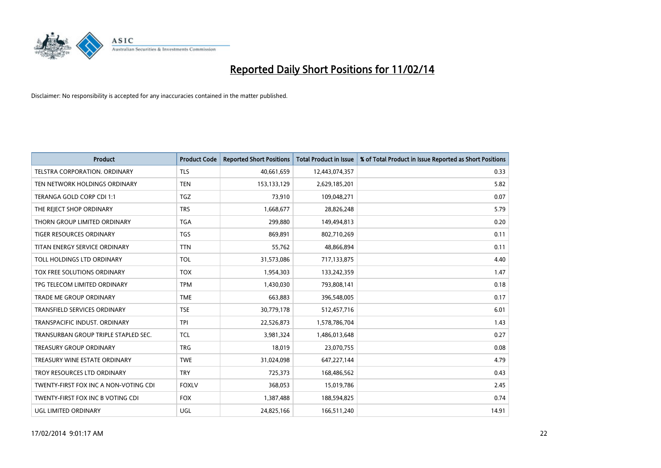

| Product                               | <b>Product Code</b> | <b>Reported Short Positions</b> | <b>Total Product in Issue</b> | % of Total Product in Issue Reported as Short Positions |
|---------------------------------------|---------------------|---------------------------------|-------------------------------|---------------------------------------------------------|
| TELSTRA CORPORATION, ORDINARY         | <b>TLS</b>          | 40,661,659                      | 12,443,074,357                | 0.33                                                    |
| TEN NETWORK HOLDINGS ORDINARY         | <b>TEN</b>          | 153,133,129                     | 2,629,185,201                 | 5.82                                                    |
| TERANGA GOLD CORP CDI 1:1             | <b>TGZ</b>          | 73,910                          | 109,048,271                   | 0.07                                                    |
| THE REJECT SHOP ORDINARY              | <b>TRS</b>          | 1,668,677                       | 28,826,248                    | 5.79                                                    |
| THORN GROUP LIMITED ORDINARY          | <b>TGA</b>          | 299,880                         | 149,494,813                   | 0.20                                                    |
| TIGER RESOURCES ORDINARY              | <b>TGS</b>          | 869,891                         | 802,710,269                   | 0.11                                                    |
| TITAN ENERGY SERVICE ORDINARY         | <b>TTN</b>          | 55,762                          | 48,866,894                    | 0.11                                                    |
| TOLL HOLDINGS LTD ORDINARY            | <b>TOL</b>          | 31,573,086                      | 717,133,875                   | 4.40                                                    |
| TOX FREE SOLUTIONS ORDINARY           | <b>TOX</b>          | 1,954,303                       | 133,242,359                   | 1.47                                                    |
| TPG TELECOM LIMITED ORDINARY          | <b>TPM</b>          | 1,430,030                       | 793,808,141                   | 0.18                                                    |
| TRADE ME GROUP ORDINARY               | <b>TME</b>          | 663,883                         | 396,548,005                   | 0.17                                                    |
| TRANSFIELD SERVICES ORDINARY          | <b>TSE</b>          | 30,779,178                      | 512,457,716                   | 6.01                                                    |
| TRANSPACIFIC INDUST, ORDINARY         | <b>TPI</b>          | 22,526,873                      | 1,578,786,704                 | 1.43                                                    |
| TRANSURBAN GROUP TRIPLE STAPLED SEC.  | <b>TCL</b>          | 3,981,324                       | 1,486,013,648                 | 0.27                                                    |
| <b>TREASURY GROUP ORDINARY</b>        | <b>TRG</b>          | 18,019                          | 23,070,755                    | 0.08                                                    |
| TREASURY WINE ESTATE ORDINARY         | <b>TWE</b>          | 31,024,098                      | 647,227,144                   | 4.79                                                    |
| TROY RESOURCES LTD ORDINARY           | <b>TRY</b>          | 725,373                         | 168,486,562                   | 0.43                                                    |
| TWENTY-FIRST FOX INC A NON-VOTING CDI | <b>FOXLV</b>        | 368,053                         | 15,019,786                    | 2.45                                                    |
| TWENTY-FIRST FOX INC B VOTING CDI     | <b>FOX</b>          | 1,387,488                       | 188,594,825                   | 0.74                                                    |
| UGL LIMITED ORDINARY                  | UGL                 | 24,825,166                      | 166,511,240                   | 14.91                                                   |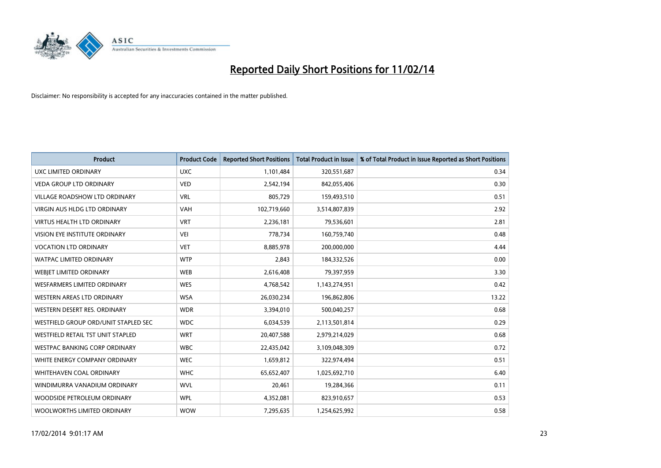

| <b>Product</b>                       | <b>Product Code</b> | <b>Reported Short Positions</b> | <b>Total Product in Issue</b> | % of Total Product in Issue Reported as Short Positions |
|--------------------------------------|---------------------|---------------------------------|-------------------------------|---------------------------------------------------------|
| UXC LIMITED ORDINARY                 | <b>UXC</b>          | 1,101,484                       | 320,551,687                   | 0.34                                                    |
| <b>VEDA GROUP LTD ORDINARY</b>       | <b>VED</b>          | 2,542,194                       | 842,055,406                   | 0.30                                                    |
| <b>VILLAGE ROADSHOW LTD ORDINARY</b> | <b>VRL</b>          | 805,729                         | 159,493,510                   | 0.51                                                    |
| <b>VIRGIN AUS HLDG LTD ORDINARY</b>  | <b>VAH</b>          | 102,719,660                     | 3,514,807,839                 | 2.92                                                    |
| <b>VIRTUS HEALTH LTD ORDINARY</b>    | <b>VRT</b>          | 2,236,181                       | 79,536,601                    | 2.81                                                    |
| VISION EYE INSTITUTE ORDINARY        | <b>VEI</b>          | 778,734                         | 160,759,740                   | 0.48                                                    |
| <b>VOCATION LTD ORDINARY</b>         | <b>VET</b>          | 8,885,978                       | 200,000,000                   | 4.44                                                    |
| <b>WATPAC LIMITED ORDINARY</b>       | <b>WTP</b>          | 2,843                           | 184,332,526                   | 0.00                                                    |
| WEBIET LIMITED ORDINARY              | <b>WEB</b>          | 2,616,408                       | 79,397,959                    | 3.30                                                    |
| <b>WESFARMERS LIMITED ORDINARY</b>   | <b>WES</b>          | 4,768,542                       | 1,143,274,951                 | 0.42                                                    |
| WESTERN AREAS LTD ORDINARY           | <b>WSA</b>          | 26,030,234                      | 196,862,806                   | 13.22                                                   |
| WESTERN DESERT RES. ORDINARY         | <b>WDR</b>          | 3,394,010                       | 500,040,257                   | 0.68                                                    |
| WESTFIELD GROUP ORD/UNIT STAPLED SEC | <b>WDC</b>          | 6,034,539                       | 2,113,501,814                 | 0.29                                                    |
| WESTFIELD RETAIL TST UNIT STAPLED    | <b>WRT</b>          | 20,407,588                      | 2,979,214,029                 | 0.68                                                    |
| <b>WESTPAC BANKING CORP ORDINARY</b> | <b>WBC</b>          | 22,435,042                      | 3,109,048,309                 | 0.72                                                    |
| WHITE ENERGY COMPANY ORDINARY        | <b>WEC</b>          | 1,659,812                       | 322,974,494                   | 0.51                                                    |
| <b>WHITEHAVEN COAL ORDINARY</b>      | <b>WHC</b>          | 65,652,407                      | 1,025,692,710                 | 6.40                                                    |
| WINDIMURRA VANADIUM ORDINARY         | <b>WVL</b>          | 20,461                          | 19,284,366                    | 0.11                                                    |
| WOODSIDE PETROLEUM ORDINARY          | <b>WPL</b>          | 4,352,081                       | 823,910,657                   | 0.53                                                    |
| WOOLWORTHS LIMITED ORDINARY          | <b>WOW</b>          | 7,295,635                       | 1,254,625,992                 | 0.58                                                    |